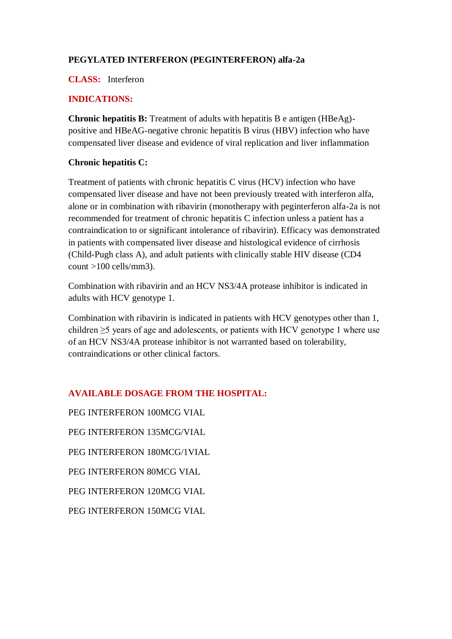# **PEGYLATED INTERFERON (PEGINTERFERON) alfa-2a**

#### **CLASS:** Interferon

# **INDICATIONS:**

**Chronic hepatitis B:** Treatment of adults with hepatitis B e antigen (HBeAg) positive and HBeAG-negative chronic hepatitis B virus (HBV) infection who have compensated liver disease and evidence of viral replication and liver inflammation

# **Chronic hepatitis C:**

Treatment of patients with chronic hepatitis C virus (HCV) infection who have compensated liver disease and have not been previously treated with interferon alfa, alone or in combination with ribavirin (monotherapy with peginterferon alfa-2a is not recommended for treatment of chronic hepatitis C infection unless a patient has a contraindication to or significant intolerance of ribavirin). Efficacy was demonstrated in patients with compensated liver disease and histological evidence of cirrhosis (Child-Pugh class A), and adult patients with clinically stable HIV disease (CD4 count >100 cells/mm3).

Combination with ribavirin and an HCV NS3/4A protease inhibitor is indicated in adults with HCV genotype 1.

Combination with ribavirin is indicated in patients with HCV genotypes other than 1, children ≥5 years of age and adolescents, or patients with HCV genotype 1 where use of an HCV NS3/4A protease inhibitor is not warranted based on tolerability, contraindications or other clinical factors.

# **AVAILABLE DOSAGE FROM THE HOSPITAL:**

PEG INTERFERON 100MCG VIAL PEG INTERFERON 135MCG/VIAL PEG INTERFERON 180MCG/1VIAL PEG INTERFERON 80MCG VIAL PEG INTERFERON 120MCG VIAL PEG INTERFERON 150MCG VIAL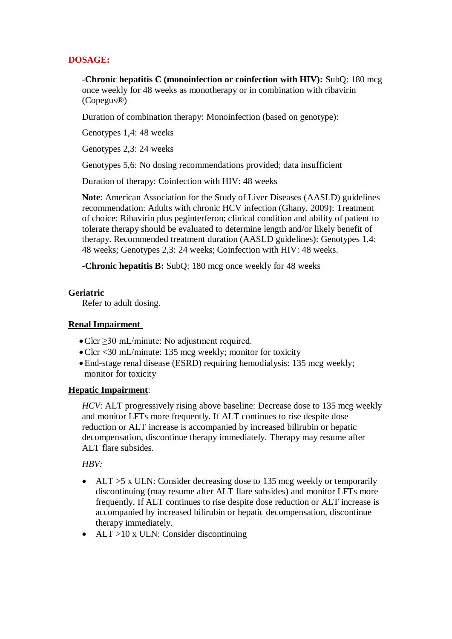# **DOSAGE:**

**-Chronic hepatitis C (monoinfection or coinfection with HIV):** SubQ: 180 mcg once weekly for 48 weeks as monotherapy or in combination with ribavirin (Copegus®)

Duration of combination therapy: Monoinfection (based on genotype):

Genotypes 1,4: 48 weeks

Genotypes 2,3: 24 weeks

Genotypes 5,6: No dosing recommendations provided; data insufficient

Duration of therapy: Coinfection with HIV: 48 weeks

**Note**: American Association for the Study of Liver Diseases (AASLD) guidelines recommendation: Adults with chronic HCV infection (Ghany, 2009): Treatment of choice: Ribavirin plus peginterferon; clinical condition and ability of patient to tolerate therapy should be evaluated to determine length and/or likely benefit of therapy. Recommended treatment duration (AASLD guidelines): Genotypes 1,4: 48 weeks; Genotypes 2,3: 24 weeks; Coinfection with HIV: 48 weeks.

**-Chronic hepatitis B:** SubQ: 180 mcg once weekly for 48 weeks

#### **Geriatric**

Refer to adult dosing.

### **Renal Impairment**

- Clcr ≥30 mL/minute: No adjustment required.
- Clcr <30 mL/minute: 135 mcg weekly; monitor for toxicity
- End-stage renal disease (ESRD) requiring hemodialysis: 135 mcg weekly; monitor for toxicity

# **Hepatic Impairment**:

*HCV*: ALT progressively rising above baseline: Decrease dose to 135 mcg weekly and monitor LFTs more frequently. If ALT continues to rise despite dose reduction or ALT increase is accompanied by increased bilirubin or hepatic decompensation, discontinue therapy immediately. Therapy may resume after ALT flare subsides.

*HBV:*

- ALT > 5 x ULN: Consider decreasing dose to 135 mcg weekly or temporarily discontinuing (may resume after ALT flare subsides) and monitor LFTs more frequently. If ALT continues to rise despite dose reduction or ALT increase is accompanied by increased bilirubin or hepatic decompensation, discontinue therapy immediately.
- ALT >10 x ULN: Consider discontinuing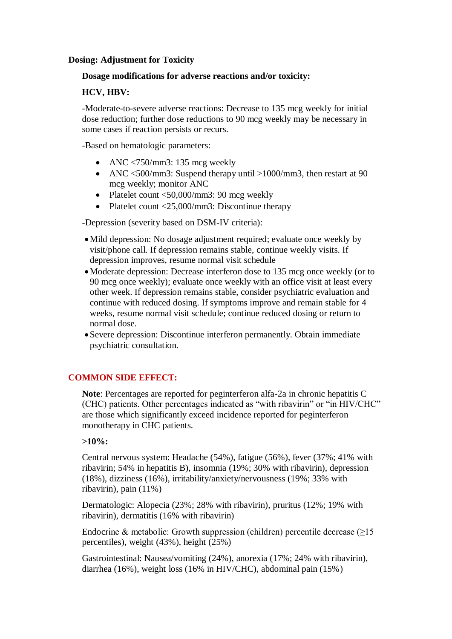#### **Dosing: Adjustment for Toxicity**

#### **Dosage modifications for adverse reactions and/or toxicity:**

#### **HCV, HBV:**

-Moderate-to-severe adverse reactions: Decrease to 135 mcg weekly for initial dose reduction; further dose reductions to 90 mcg weekly may be necessary in some cases if reaction persists or recurs.

-Based on hematologic parameters:

- ANC  $\langle 750 \rangle$ mm3: 135 mcg weekly
- ANC <500/mm3: Suspend therapy until >1000/mm3, then restart at 90 mcg weekly; monitor ANC
- Platelet count  $\langle 50,000 \rangle$  mm3: 90 mcg weekly
- Platelet count <25,000/mm3: Discontinue therapy

-Depression (severity based on DSM-IV criteria):

- Mild depression: No dosage adjustment required; evaluate once weekly by visit/phone call. If depression remains stable, continue weekly visits. If depression improves, resume normal visit schedule
- Moderate depression: Decrease interferon dose to 135 mcg once weekly (or to 90 mcg once weekly); evaluate once weekly with an office visit at least every other week. If depression remains stable, consider psychiatric evaluation and continue with reduced dosing. If symptoms improve and remain stable for 4 weeks, resume normal visit schedule; continue reduced dosing or return to normal dose.
- Severe depression: Discontinue interferon permanently. Obtain immediate psychiatric consultation.

### **COMMON SIDE EFFECT:**

**Note**: Percentages are reported for peginterferon alfa-2a in chronic hepatitis C (CHC) patients. Other percentages indicated as "with ribavirin" or "in HIV/CHC" are those which significantly exceed incidence reported for peginterferon monotherapy in CHC patients.

#### **>10%:**

Central nervous system: Headache (54%), fatigue (56%), fever (37%; 41% with ribavirin; 54% in hepatitis B), insomnia (19%; 30% with ribavirin), depression (18%), dizziness (16%), irritability/anxiety/nervousness (19%; 33% with ribavirin), pain (11%)

Dermatologic: Alopecia (23%; 28% with ribavirin), pruritus (12%; 19% with ribavirin), dermatitis (16% with ribavirin)

Endocrine & metabolic: Growth suppression (children) percentile decrease (≥15 percentiles), weight (43%), height (25%)

Gastrointestinal: Nausea/vomiting (24%), anorexia (17%; 24% with ribavirin), diarrhea (16%), weight loss (16% in HIV/CHC), abdominal pain (15%)